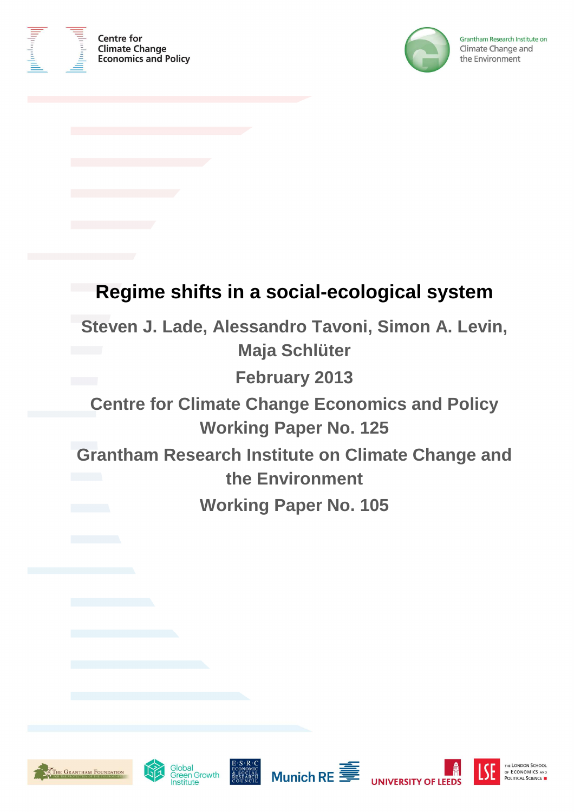



Grantham Research Institute on Climate Change and the Environment

# **Regime shifts in a social-ecological system**

**Steven J. Lade, Alessandro Tavoni, Simon A. Levin, Maja Schlüter February 2013**

**Centre for Climate Change Economics and Policy Working Paper No. 125**

**Grantham Research Institute on Climate Change and the Environment** 

**Working Paper No. 105**











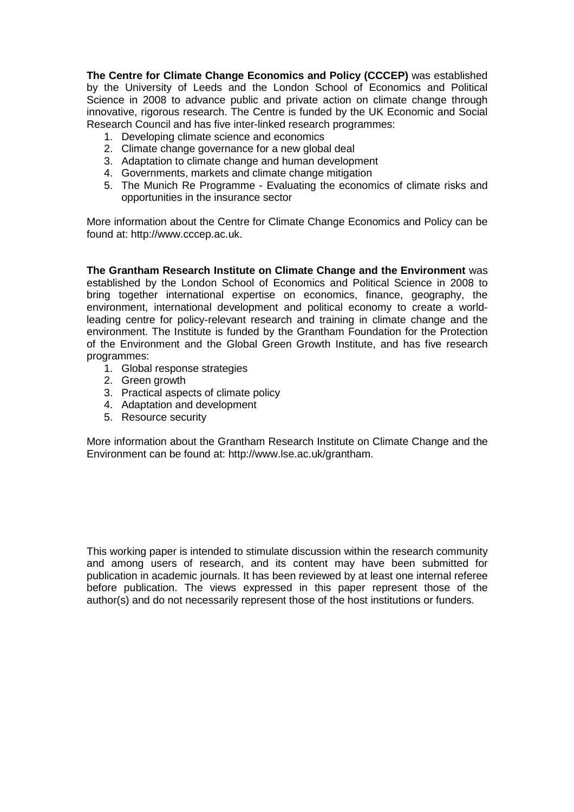**The Centre for Climate Change Economics and Policy (CCCEP)** was established by the University of Leeds and the London School of Economics and Political Science in 2008 to advance public and private action on climate change through innovative, rigorous research. The Centre is funded by the UK Economic and Social Research Council and has five inter-linked research programmes:

- 1. Developing climate science and economics
- 2. Climate change governance for a new global deal
- 3. Adaptation to climate change and human development
- 4. Governments, markets and climate change mitigation
- 5. The Munich Re Programme Evaluating the economics of climate risks and opportunities in the insurance sector

More information about the Centre for Climate Change Economics and Policy can be found at: http://www.cccep.ac.uk.

**The Grantham Research Institute on Climate Change and the Environment** was established by the London School of Economics and Political Science in 2008 to bring together international expertise on economics, finance, geography, the environment, international development and political economy to create a worldleading centre for policy-relevant research and training in climate change and the environment. The Institute is funded by the Grantham Foundation for the Protection of the Environment and the Global Green Growth Institute, and has five research programmes:

- 1. Global response strategies
- 2. Green growth
- 3. Practical aspects of climate policy
- 4. Adaptation and development
- 5. Resource security

More information about the Grantham Research Institute on Climate Change and the Environment can be found at: http://www.lse.ac.uk/grantham.

This working paper is intended to stimulate discussion within the research community and among users of research, and its content may have been submitted for publication in academic journals. It has been reviewed by at least one internal referee before publication. The views expressed in this paper represent those of the author(s) and do not necessarily represent those of the host institutions or funders.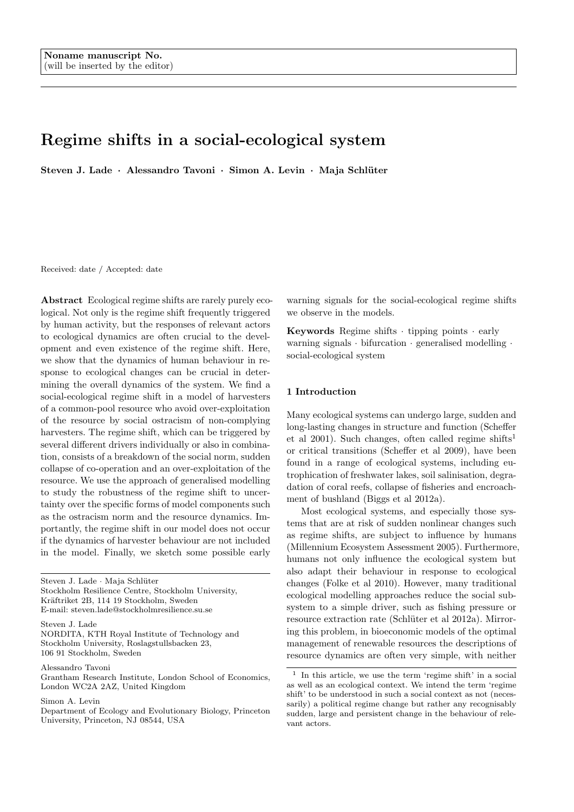# Regime shifts in a social-ecological system

Steven J. Lade · Alessandro Tavoni · Simon A. Levin · Maja Schlüter

Received: date / Accepted: date

Abstract Ecological regime shifts are rarely purely ecological. Not only is the regime shift frequently triggered by human activity, but the responses of relevant actors to ecological dynamics are often crucial to the development and even existence of the regime shift. Here, we show that the dynamics of human behaviour in response to ecological changes can be crucial in determining the overall dynamics of the system. We find a social-ecological regime shift in a model of harvesters of a common-pool resource who avoid over-exploitation of the resource by social ostracism of non-complying harvesters. The regime shift, which can be triggered by several different drivers individually or also in combination, consists of a breakdown of the social norm, sudden collapse of co-operation and an over-exploitation of the resource. We use the approach of generalised modelling to study the robustness of the regime shift to uncertainty over the specific forms of model components such as the ostracism norm and the resource dynamics. Importantly, the regime shift in our model does not occur if the dynamics of harvester behaviour are not included in the model. Finally, we sketch some possible early

Steven J. Lade · Maja Schlüter Stockholm Resilience Centre, Stockholm University, Kräftriket 2B, 114 19 Stockholm, Sweden E-mail: steven.lade@stockholmresilience.su.se

Steven J. Lade

NORDITA, KTH Royal Institute of Technology and Stockholm University, Roslagstullsbacken 23, 106 91 Stockholm, Sweden

Alessandro Tavoni Grantham Research Institute, London School of Economics,

London WC2A 2AZ, United Kingdom

Simon A. Levin

Department of Ecology and Evolutionary Biology, Princeton University, Princeton, NJ 08544, USA

warning signals for the social-ecological regime shifts we observe in the models.

Keywords Regime shifts · tipping points · early warning signals · bifurcation · generalised modelling · social-ecological system

# 1 Introduction

Many ecological systems can undergo large, sudden and long-lasting changes in structure and function (Scheffer et al  $2001$ ). Such changes, often called regime shifts<sup>1</sup> or critical transitions (Scheffer et al 2009), have been found in a range of ecological systems, including eutrophication of freshwater lakes, soil salinisation, degradation of coral reefs, collapse of fisheries and encroachment of bushland (Biggs et al 2012a).

Most ecological systems, and especially those systems that are at risk of sudden nonlinear changes such as regime shifts, are subject to influence by humans (Millennium Ecosystem Assessment 2005). Furthermore, humans not only influence the ecological system but also adapt their behaviour in response to ecological changes (Folke et al 2010). However, many traditional ecological modelling approaches reduce the social subsystem to a simple driver, such as fishing pressure or resource extraction rate (Schlüter et al 2012a). Mirroring this problem, in bioeconomic models of the optimal management of renewable resources the descriptions of resource dynamics are often very simple, with neither

<sup>&</sup>lt;sup>1</sup> In this article, we use the term 'regime shift' in a social as well as an ecological context. We intend the term 'regime shift' to be understood in such a social context as not (necessarily) a political regime change but rather any recognisably sudden, large and persistent change in the behaviour of relevant actors.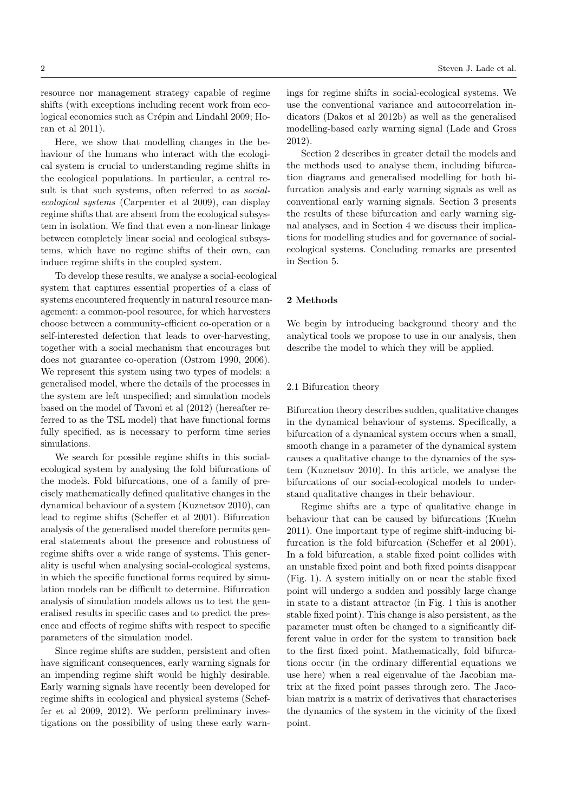resource nor management strategy capable of regime shifts (with exceptions including recent work from ecological economics such as Crépin and Lindahl 2009; Horan et al 2011).

Here, we show that modelling changes in the behaviour of the humans who interact with the ecological system is crucial to understanding regime shifts in the ecological populations. In particular, a central result is that such systems, often referred to as *social*ecological systems (Carpenter et al 2009), can display regime shifts that are absent from the ecological subsystem in isolation. We find that even a non-linear linkage between completely linear social and ecological subsystems, which have no regime shifts of their own, can induce regime shifts in the coupled system.

To develop these results, we analyse a social-ecological system that captures essential properties of a class of systems encountered frequently in natural resource management: a common-pool resource, for which harvesters choose between a community-efficient co-operation or a self-interested defection that leads to over-harvesting, together with a social mechanism that encourages but does not guarantee co-operation (Ostrom 1990, 2006). We represent this system using two types of models: a generalised model, where the details of the processes in the system are left unspecified; and simulation models based on the model of Tavoni et al (2012) (hereafter referred to as the TSL model) that have functional forms fully specified, as is necessary to perform time series simulations.

We search for possible regime shifts in this socialecological system by analysing the fold bifurcations of the models. Fold bifurcations, one of a family of precisely mathematically defined qualitative changes in the dynamical behaviour of a system (Kuznetsov 2010), can lead to regime shifts (Scheffer et al 2001). Bifurcation analysis of the generalised model therefore permits general statements about the presence and robustness of regime shifts over a wide range of systems. This generality is useful when analysing social-ecological systems, in which the specific functional forms required by simulation models can be difficult to determine. Bifurcation analysis of simulation models allows us to test the generalised results in specific cases and to predict the presence and effects of regime shifts with respect to specific parameters of the simulation model.

Since regime shifts are sudden, persistent and often have significant consequences, early warning signals for an impending regime shift would be highly desirable. Early warning signals have recently been developed for regime shifts in ecological and physical systems (Scheffer et al 2009, 2012). We perform preliminary investigations on the possibility of using these early warnings for regime shifts in social-ecological systems. We use the conventional variance and autocorrelation indicators (Dakos et al 2012b) as well as the generalised modelling-based early warning signal (Lade and Gross 2012).

Section 2 describes in greater detail the models and the methods used to analyse them, including bifurcation diagrams and generalised modelling for both bifurcation analysis and early warning signals as well as conventional early warning signals. Section 3 presents the results of these bifurcation and early warning signal analyses, and in Section 4 we discuss their implications for modelling studies and for governance of socialecological systems. Concluding remarks are presented in Section 5.

#### 2 Methods

We begin by introducing background theory and the analytical tools we propose to use in our analysis, then describe the model to which they will be applied.

# 2.1 Bifurcation theory

Bifurcation theory describes sudden, qualitative changes in the dynamical behaviour of systems. Specifically, a bifurcation of a dynamical system occurs when a small, smooth change in a parameter of the dynamical system causes a qualitative change to the dynamics of the system (Kuznetsov 2010). In this article, we analyse the bifurcations of our social-ecological models to understand qualitative changes in their behaviour.

Regime shifts are a type of qualitative change in behaviour that can be caused by bifurcations (Kuehn 2011). One important type of regime shift-inducing bifurcation is the fold bifurcation (Scheffer et al 2001). In a fold bifurcation, a stable fixed point collides with an unstable fixed point and both fixed points disappear (Fig. 1). A system initially on or near the stable fixed point will undergo a sudden and possibly large change in state to a distant attractor (in Fig. 1 this is another stable fixed point). This change is also persistent, as the parameter must often be changed to a significantly different value in order for the system to transition back to the first fixed point. Mathematically, fold bifurcations occur (in the ordinary differential equations we use here) when a real eigenvalue of the Jacobian matrix at the fixed point passes through zero. The Jacobian matrix is a matrix of derivatives that characterises the dynamics of the system in the vicinity of the fixed point.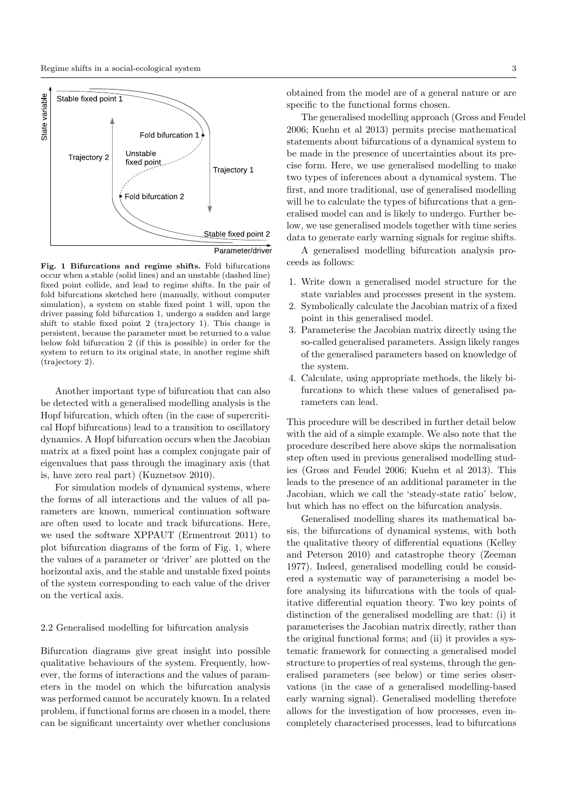

Fig. 1 Bifurcations and regime shifts. Fold bifurcations occur when a stable (solid lines) and an unstable (dashed line) fixed point collide, and lead to regime shifts. In the pair of fold bifurcations sketched here (manually, without computer simulation), a system on stable fixed point 1 will, upon the driver passing fold bifurcation 1, undergo a sudden and large shift to stable fixed point 2 (trajectory 1). This change is persistent, because the parameter must be returned to a value below fold bifurcation 2 (if this is possible) in order for the system to return to its original state, in another regime shift (trajectory 2).

Another important type of bifurcation that can also be detected with a generalised modelling analysis is the Hopf bifurcation, which often (in the case of supercritical Hopf bifurcations) lead to a transition to oscillatory dynamics. A Hopf bifurcation occurs when the Jacobian matrix at a fixed point has a complex conjugate pair of eigenvalues that pass through the imaginary axis (that is, have zero real part) (Kuznetsov 2010).

For simulation models of dynamical systems, where the forms of all interactions and the values of all parameters are known, numerical continuation software are often used to locate and track bifurcations. Here, we used the software XPPAUT (Ermentrout 2011) to plot bifurcation diagrams of the form of Fig. 1, where the values of a parameter or 'driver' are plotted on the horizontal axis, and the stable and unstable fixed points of the system corresponding to each value of the driver on the vertical axis.

# 2.2 Generalised modelling for bifurcation analysis

Bifurcation diagrams give great insight into possible qualitative behaviours of the system. Frequently, however, the forms of interactions and the values of parameters in the model on which the bifurcation analysis was performed cannot be accurately known. In a related problem, if functional forms are chosen in a model, there can be significant uncertainty over whether conclusions

obtained from the model are of a general nature or are specific to the functional forms chosen.

The generalised modelling approach (Gross and Feudel 2006; Kuehn et al 2013) permits precise mathematical statements about bifurcations of a dynamical system to be made in the presence of uncertainties about its precise form. Here, we use generalised modelling to make two types of inferences about a dynamical system. The first, and more traditional, use of generalised modelling will be to calculate the types of bifurcations that a generalised model can and is likely to undergo. Further below, we use generalised models together with time series data to generate early warning signals for regime shifts.

A generalised modelling bifurcation analysis proceeds as follows:

- 1. Write down a generalised model structure for the state variables and processes present in the system.
- 2. Symbolically calculate the Jacobian matrix of a fixed point in this generalised model.
- 3. Parameterise the Jacobian matrix directly using the so-called generalised parameters. Assign likely ranges of the generalised parameters based on knowledge of the system.
- 4. Calculate, using appropriate methods, the likely bifurcations to which these values of generalised parameters can lead.

This procedure will be described in further detail below with the aid of a simple example. We also note that the procedure described here above skips the normalisation step often used in previous generalised modelling studies (Gross and Feudel 2006; Kuehn et al 2013). This leads to the presence of an additional parameter in the Jacobian, which we call the 'steady-state ratio' below, but which has no effect on the bifurcation analysis.

Generalised modelling shares its mathematical basis, the bifurcations of dynamical systems, with both the qualitative theory of differential equations (Kelley and Peterson 2010) and catastrophe theory (Zeeman 1977). Indeed, generalised modelling could be considered a systematic way of parameterising a model before analysing its bifurcations with the tools of qualitative differential equation theory. Two key points of distinction of the generalised modelling are that: (i) it parameterises the Jacobian matrix directly, rather than the original functional forms; and (ii) it provides a systematic framework for connecting a generalised model structure to properties of real systems, through the generalised parameters (see below) or time series observations (in the case of a generalised modelling-based early warning signal). Generalised modelling therefore allows for the investigation of how processes, even incompletely characterised processes, lead to bifurcations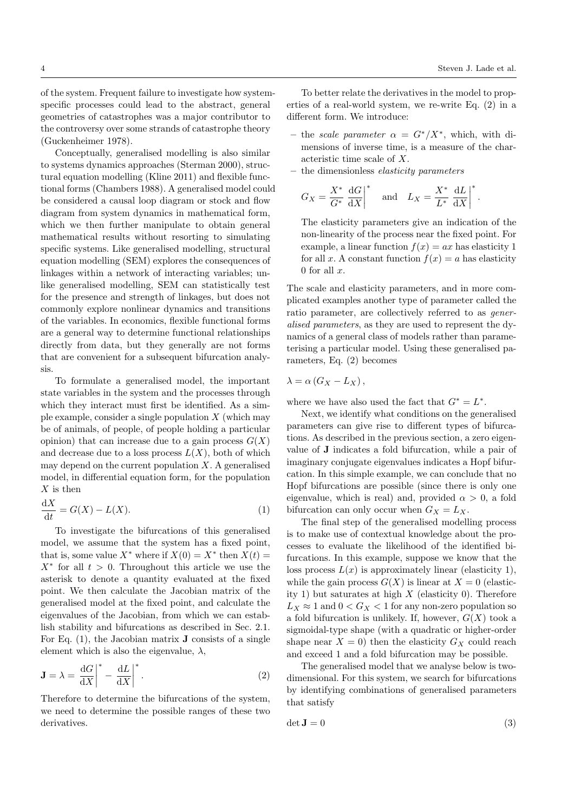of the system. Frequent failure to investigate how systemspecific processes could lead to the abstract, general geometries of catastrophes was a major contributor to the controversy over some strands of catastrophe theory (Guckenheimer 1978).

Conceptually, generalised modelling is also similar to systems dynamics approaches (Sterman 2000), structural equation modelling (Kline 2011) and flexible functional forms (Chambers 1988). A generalised model could be considered a causal loop diagram or stock and flow diagram from system dynamics in mathematical form, which we then further manipulate to obtain general mathematical results without resorting to simulating specific systems. Like generalised modelling, structural equation modelling (SEM) explores the consequences of linkages within a network of interacting variables; unlike generalised modelling, SEM can statistically test for the presence and strength of linkages, but does not commonly explore nonlinear dynamics and transitions of the variables. In economics, flexible functional forms are a general way to determine functional relationships directly from data, but they generally are not forms that are convenient for a subsequent bifurcation analysis.

To formulate a generalised model, the important state variables in the system and the processes through which they interact must first be identified. As a simple example, consider a single population  $X$  (which may be of animals, of people, of people holding a particular opinion) that can increase due to a gain process  $G(X)$ and decrease due to a loss process  $L(X)$ , both of which may depend on the current population  $X$ . A generalised model, in differential equation form, for the population  $X$  is then

$$
\frac{\mathrm{d}X}{\mathrm{d}t} = G(X) - L(X). \tag{1}
$$

To investigate the bifurcations of this generalised model, we assume that the system has a fixed point, that is, some value  $X^*$  where if  $X(0) = X^*$  then  $X(t) =$  $X^*$  for all  $t > 0$ . Throughout this article we use the asterisk to denote a quantity evaluated at the fixed point. We then calculate the Jacobian matrix of the generalised model at the fixed point, and calculate the eigenvalues of the Jacobian, from which we can establish stability and bifurcations as described in Sec. 2.1. For Eq.  $(1)$ , the Jacobian matrix **J** consists of a single element which is also the eigenvalue,  $\lambda$ ,

$$
\mathbf{J} = \lambda = \left. \frac{\mathrm{d}G}{\mathrm{d}X} \right|^{*} - \left. \frac{\mathrm{d}L}{\mathrm{d}X} \right|^{*} . \tag{2}
$$

Therefore to determine the bifurcations of the system, we need to determine the possible ranges of these two derivatives.

To better relate the derivatives in the model to properties of a real-world system, we re-write Eq. (2) in a different form. We introduce:

- the scale parameter  $\alpha = G^*/X^*$ , which, with dimensions of inverse time, is a measure of the characteristic time scale of X.
- the dimensionless elasticity parameters

$$
G_X = \frac{X^*}{G^*} \left. \frac{\mathrm{d}G}{\mathrm{d}X} \right|^{*} \quad \text{and} \quad L_X = \frac{X^*}{L^*} \left. \frac{\mathrm{d}L}{\mathrm{d}X} \right|^{*}.
$$

The elasticity parameters give an indication of the non-linearity of the process near the fixed point. For example, a linear function  $f(x) = ax$  has elasticity 1 for all x. A constant function  $f(x) = a$  has elasticity 0 for all  $x$ .

The scale and elasticity parameters, and in more complicated examples another type of parameter called the ratio parameter, are collectively referred to as generalised parameters, as they are used to represent the dynamics of a general class of models rather than parameterising a particular model. Using these generalised parameters, Eq. (2) becomes

$$
\lambda = \alpha \left( G_X - L_X \right),
$$

where we have also used the fact that  $G^* = L^*$ .

Next, we identify what conditions on the generalised parameters can give rise to different types of bifurcations. As described in the previous section, a zero eigenvalue of J indicates a fold bifurcation, while a pair of imaginary conjugate eigenvalues indicates a Hopf bifurcation. In this simple example, we can conclude that no Hopf bifurcations are possible (since there is only one eigenvalue, which is real) and, provided  $\alpha > 0$ , a fold bifurcation can only occur when  $G_X = L_X$ .

The final step of the generalised modelling process is to make use of contextual knowledge about the processes to evaluate the likelihood of the identified bifurcations. In this example, suppose we know that the loss process  $L(x)$  is approximately linear (elasticity 1), while the gain process  $G(X)$  is linear at  $X = 0$  (elasticity 1) but saturates at high  $X$  (elasticity 0). Therefore  $L_X \approx 1$  and  $0 < G_X < 1$  for any non-zero population so a fold bifurcation is unlikely. If, however,  $G(X)$  took a sigmoidal-type shape (with a quadratic or higher-order shape near  $X = 0$ ) then the elasticity  $G_X$  could reach and exceed 1 and a fold bifurcation may be possible.

The generalised model that we analyse below is twodimensional. For this system, we search for bifurcations by identifying combinations of generalised parameters that satisfy

$$
\det \mathbf{J} = 0 \tag{3}
$$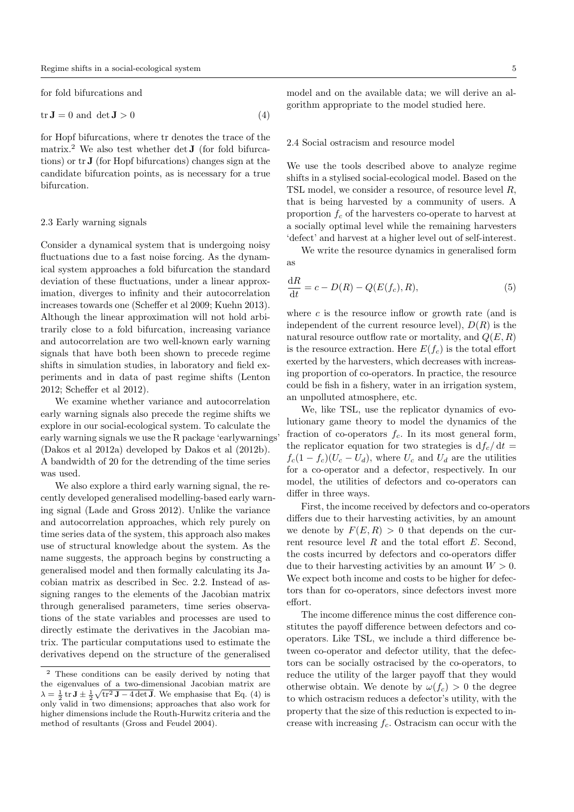for fold bifurcations and

$$
\operatorname{tr} \mathbf{J} = 0 \text{ and } \det \mathbf{J} > 0 \tag{4}
$$

for Hopf bifurcations, where tr denotes the trace of the matrix.<sup>2</sup> We also test whether det **J** (for fold bifurcations) or tr J (for Hopf bifurcations) changes sign at the candidate bifurcation points, as is necessary for a true bifurcation.

# 2.3 Early warning signals

Consider a dynamical system that is undergoing noisy fluctuations due to a fast noise forcing. As the dynamical system approaches a fold bifurcation the standard deviation of these fluctuations, under a linear approximation, diverges to infinity and their autocorrelation increases towards one (Scheffer et al 2009; Kuehn 2013). Although the linear approximation will not hold arbitrarily close to a fold bifurcation, increasing variance and autocorrelation are two well-known early warning signals that have both been shown to precede regime shifts in simulation studies, in laboratory and field experiments and in data of past regime shifts (Lenton 2012; Scheffer et al 2012).

We examine whether variance and autocorrelation early warning signals also precede the regime shifts we explore in our social-ecological system. To calculate the early warning signals we use the R package 'earlywarnings' (Dakos et al 2012a) developed by Dakos et al (2012b). A bandwidth of 20 for the detrending of the time series was used.

We also explore a third early warning signal, the recently developed generalised modelling-based early warning signal (Lade and Gross 2012). Unlike the variance and autocorrelation approaches, which rely purely on time series data of the system, this approach also makes use of structural knowledge about the system. As the name suggests, the approach begins by constructing a generalised model and then formally calculating its Jacobian matrix as described in Sec. 2.2. Instead of assigning ranges to the elements of the Jacobian matrix through generalised parameters, time series observations of the state variables and processes are used to directly estimate the derivatives in the Jacobian matrix. The particular computations used to estimate the derivatives depend on the structure of the generalised

model and on the available data; we will derive an algorithm appropriate to the model studied here.

### 2.4 Social ostracism and resource model

We use the tools described above to analyze regime shifts in a stylised social-ecological model. Based on the TSL model, we consider a resource, of resource level R, that is being harvested by a community of users. A proportion  $f_c$  of the harvesters co-operate to harvest at a socially optimal level while the remaining harvesters 'defect' and harvest at a higher level out of self-interest.

We write the resource dynamics in generalised form as

$$
\frac{\mathrm{d}R}{\mathrm{d}t} = c - D(R) - Q(E(f_c), R),\tag{5}
$$

where  $c$  is the resource inflow or growth rate (and is independent of the current resource level),  $D(R)$  is the natural resource outflow rate or mortality, and  $Q(E, R)$ is the resource extraction. Here  $E(f_c)$  is the total effort exerted by the harvesters, which decreases with increasing proportion of co-operators. In practice, the resource could be fish in a fishery, water in an irrigation system, an unpolluted atmosphere, etc.

We, like TSL, use the replicator dynamics of evolutionary game theory to model the dynamics of the fraction of co-operators  $f_c$ . In its most general form, the replicator equation for two strategies is  $df_c/dt =$  $f_c(1 - f_c)(U_c - U_d)$ , where  $U_c$  and  $U_d$  are the utilities for a co-operator and a defector, respectively. In our model, the utilities of defectors and co-operators can differ in three ways.

First, the income received by defectors and co-operators differs due to their harvesting activities, by an amount we denote by  $F(E, R) > 0$  that depends on the current resource level  $R$  and the total effort  $E$ . Second, the costs incurred by defectors and co-operators differ due to their harvesting activities by an amount  $W > 0$ . We expect both income and costs to be higher for defectors than for co-operators, since defectors invest more effort.

The income difference minus the cost difference constitutes the payoff difference between defectors and cooperators. Like TSL, we include a third difference between co-operator and defector utility, that the defectors can be socially ostracised by the co-operators, to reduce the utility of the larger payoff that they would otherwise obtain. We denote by  $\omega(f_c) > 0$  the degree to which ostracism reduces a defector's utility, with the property that the size of this reduction is expected to increase with increasing  $f_c$ . Ostracism can occur with the

<sup>2</sup> These conditions can be easily derived by noting that the eigenvalues of a two-dimensional Jacobian matrix are  $\lambda = \frac{1}{2} \text{ tr } \mathbf{J} \pm \frac{1}{2} \sqrt{\text{tr}^2 \mathbf{J} - 4 \det \mathbf{J}}$ . We emphasise that Eq. (4) is only valid in two dimensions; approaches that also work for higher dimensions include the Routh-Hurwitz criteria and the method of resultants (Gross and Feudel 2004).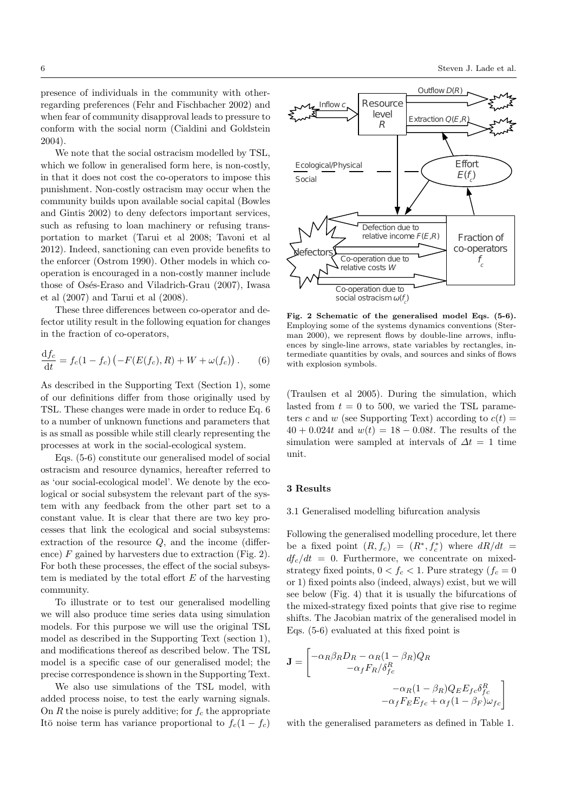presence of individuals in the community with otherregarding preferences (Fehr and Fischbacher 2002) and when fear of community disapproval leads to pressure to conform with the social norm (Cialdini and Goldstein 2004).

We note that the social ostracism modelled by TSL, which we follow in generalised form here, is non-costly, in that it does not cost the co-operators to impose this punishment. Non-costly ostracism may occur when the community builds upon available social capital (Bowles and Gintis 2002) to deny defectors important services, such as refusing to loan machinery or refusing transportation to market (Tarui et al 2008; Tavoni et al 2012). Indeed, sanctioning can even provide benefits to the enforcer (Ostrom 1990). Other models in which cooperation is encouraged in a non-costly manner include those of Osés-Eraso and Viladrich-Grau (2007), Iwasa et al (2007) and Tarui et al (2008).

These three differences between co-operator and defector utility result in the following equation for changes in the fraction of co-operators,

$$
\frac{\mathrm{d}f_c}{\mathrm{d}t} = f_c(1 - f_c) \left( -F(E(f_c), R) + W + \omega(f_c) \right). \tag{6}
$$

As described in the Supporting Text (Section 1), some of our definitions differ from those originally used by TSL. These changes were made in order to reduce Eq. 6 to a number of unknown functions and parameters that is as small as possible while still clearly representing the processes at work in the social-ecological system.

Eqs. (5-6) constitute our generalised model of social ostracism and resource dynamics, hereafter referred to as 'our social-ecological model'. We denote by the ecological or social subsystem the relevant part of the system with any feedback from the other part set to a constant value. It is clear that there are two key processes that link the ecological and social subsystems: extraction of the resource  $Q$ , and the income (difference)  $F$  gained by harvesters due to extraction (Fig. 2). For both these processes, the effect of the social subsystem is mediated by the total effort  $E$  of the harvesting community.

To illustrate or to test our generalised modelling we will also produce time series data using simulation models. For this purpose we will use the original TSL model as described in the Supporting Text (section 1), and modifications thereof as described below. The TSL model is a specific case of our generalised model; the precise correspondence is shown in the Supporting Text.

We also use simulations of the TSL model, with added process noise, to test the early warning signals. On R the noise is purely additive; for  $f_c$  the appropriate Itō noise term has variance proportional to  $f_c(1 - f_c)$ 



Fig. 2 Schematic of the generalised model Eqs. (5-6). Employing some of the systems dynamics conventions (Sterman 2000), we represent flows by double-line arrows, influences by single-line arrows, state variables by rectangles, intermediate quantities by ovals, and sources and sinks of flows with explosion symbols.

(Traulsen et al 2005). During the simulation, which lasted from  $t = 0$  to 500, we varied the TSL parameters c and w (see Supporting Text) according to  $c(t) =$  $40 + 0.024t$  and  $w(t) = 18 - 0.08t$ . The results of the simulation were sampled at intervals of  $\Delta t = 1$  time unit.

# 3 Results

# 3.1 Generalised modelling bifurcation analysis

Following the generalised modelling procedure, let there be a fixed point  $(R, f_c) = (R^*, f_c^*)$  where  $dR/dt =$  $df_c/dt = 0$ . Furthermore, we concentrate on mixedstrategy fixed points,  $0 < f_c < 1$ . Pure strategy  $(f_c = 0)$ or 1) fixed points also (indeed, always) exist, but we will see below (Fig. 4) that it is usually the bifurcations of the mixed-strategy fixed points that give rise to regime shifts. The Jacobian matrix of the generalised model in Eqs. (5-6) evaluated at this fixed point is

$$
\mathbf{J} = \begin{bmatrix} -\alpha_R \beta_R D_R - \alpha_R (1 - \beta_R) Q_R \\ -\alpha_f F_R / \delta_{fc}^R \\ -\alpha_R (1 - \beta_R) Q_E E_{fc} \delta_{fc}^R \\ -\alpha_f F_E E_{fc} + \alpha_f (1 - \beta_F) \omega_{fc} \end{bmatrix}
$$

with the generalised parameters as defined in Table 1.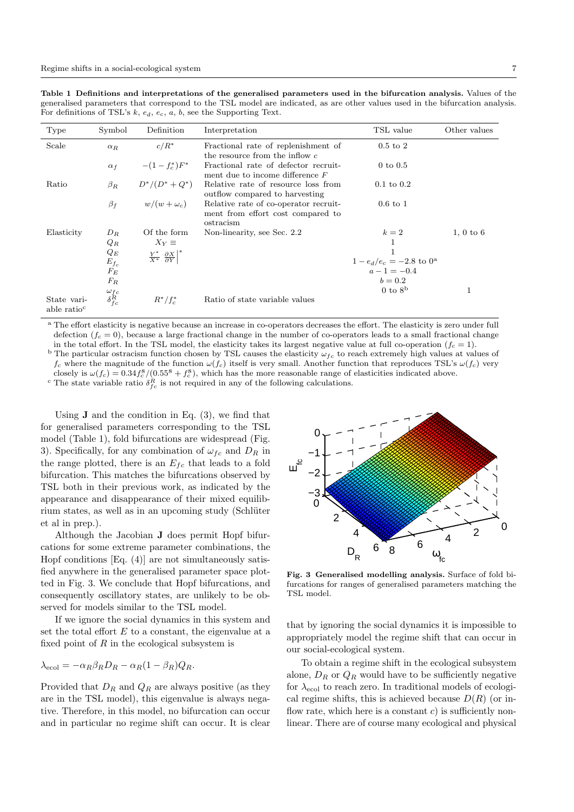Table 1 Definitions and interpretations of the generalised parameters used in the bifurcation analysis. Values of the generalised parameters that correspond to the TSL model are indicated, as are other values used in the bifurcation analysis. For definitions of TSL's  $k$ ,  $e_d$ ,  $e_c$ ,  $a$ ,  $b$ , see the Supporting Text.

| Type                                   | Symbol                            | Definition                                                       | Interpretation                                                                          | TSL value                 | Other values |
|----------------------------------------|-----------------------------------|------------------------------------------------------------------|-----------------------------------------------------------------------------------------|---------------------------|--------------|
| Scale                                  | $\alpha_R$                        | $c/R^*$                                                          | Fractional rate of replenishment of<br>the resource from the inflow c                   | $0.5$ to $2$              |              |
|                                        | $\alpha_f$                        | $-(1-f_c^*)F^*$                                                  | Fractional rate of defector recruit-<br>ment due to income difference $F$               | $0 \text{ to } 0.5$       |              |
| Ratio                                  | $\beta_R$                         | $D^*/(D^*+Q^*)$                                                  | Relative rate of resource loss from<br>outflow compared to harvesting                   | $0.1 \text{ to } 0.2$     |              |
|                                        | $\beta_f$                         | $w/(w+\omega_c)$                                                 | Relative rate of co-operator recruit-<br>ment from effort cost compared to<br>ostracism | $0.6$ to 1                |              |
| Elasticity                             | $D_R$                             | Of the form                                                      | Non-linearity, see Sec. 2.2                                                             | $k=2$                     | $1,0$ to $6$ |
|                                        | $Q_R$                             | $X_Y \equiv$                                                     |                                                                                         |                           |              |
|                                        | $Q_E$                             | $\frac{Y^*}{X^*} \left. \frac{\partial X}{\partial Y} \right ^*$ |                                                                                         |                           |              |
|                                        | $E_{f_c}$                         |                                                                  |                                                                                         | $1-e_d/e_c=-2.8$ to $0^a$ |              |
|                                        | $F_E$                             |                                                                  |                                                                                         | $a-1=-0.4$                |              |
|                                        | $F_R$                             |                                                                  |                                                                                         | $b = 0.2$                 |              |
|                                        |                                   |                                                                  |                                                                                         | $0$ to $8b$               | 1            |
| State vari-<br>able ratio <sup>c</sup> | $\omega_{fc} \over \delta_{fc}^R$ | $R^*/f_c^*$                                                      | Ratio of state variable values                                                          |                           |              |

<sup>a</sup> The effort elasticity is negative because an increase in co-operators decreases the effort. The elasticity is zero under full defection  $(f_c = 0)$ , because a large fractional change in the number of co-operators leads to a small fractional change in the total effort. In the TSL model, the elasticity takes its largest negative value at full co-operation  $(f_c = 1)$ .

<sup>b</sup> The particular ostracism function chosen by TSL causes the elasticity  $\omega_{fc}$  to reach extremely high values at values of  $f_c$  where the magnitude of the function  $\omega(f_c)$  itself is very small. Another function that reproduces TSL's  $\omega(f_c)$  very

closely is  $\omega(f_c) = 0.34 f_c^8/(0.55^8 + f_c^8)$ , which has the more reasonable range of elasticities indicated above.

<sup>c</sup> The state variable ratio  $\delta_{fc}^R$  is not required in any of the following calculations.

Using  $J$  and the condition in Eq.  $(3)$ , we find that for generalised parameters corresponding to the TSL model (Table 1), fold bifurcations are widespread (Fig. 3). Specifically, for any combination of  $\omega_{fc}$  and  $D_R$  in the range plotted, there is an  $E_{fc}$  that leads to a fold bifurcation. This matches the bifurcations observed by TSL both in their previous work, as indicated by the appearance and disappearance of their mixed equilibrium states, as well as in an upcoming study (Schlüter et al in prep.).

Although the Jacobian J does permit Hopf bifurcations for some extreme parameter combinations, the Hopf conditions  $[Eq. (4)]$  are not simultaneously satisfied anywhere in the generalised parameter space plotted in Fig. 3. We conclude that Hopf bifurcations, and consequently oscillatory states, are unlikely to be observed for models similar to the TSL model.

If we ignore the social dynamics in this system and set the total effort  $E$  to a constant, the eigenvalue at a fixed point of  $R$  in the ecological subsystem is

$$
\lambda_{\text{ecol}} = -\alpha_R \beta_R D_R - \alpha_R (1 - \beta_R) Q_R.
$$

Provided that  $D_R$  and  $Q_R$  are always positive (as they are in the TSL model), this eigenvalue is always negative. Therefore, in this model, no bifurcation can occur and in particular no regime shift can occur. It is clear



Fig. 3 Generalised modelling analysis. Surface of fold bifurcations for ranges of generalised parameters matching the TSL model.

that by ignoring the social dynamics it is impossible to appropriately model the regime shift that can occur in our social-ecological system.

To obtain a regime shift in the ecological subsystem alone,  $D_R$  or  $Q_R$  would have to be sufficiently negative for  $\lambda_{\text{ecol}}$  to reach zero. In traditional models of ecological regime shifts, this is achieved because  $D(R)$  (or inflow rate, which here is a constant  $c$ ) is sufficiently nonlinear. There are of course many ecological and physical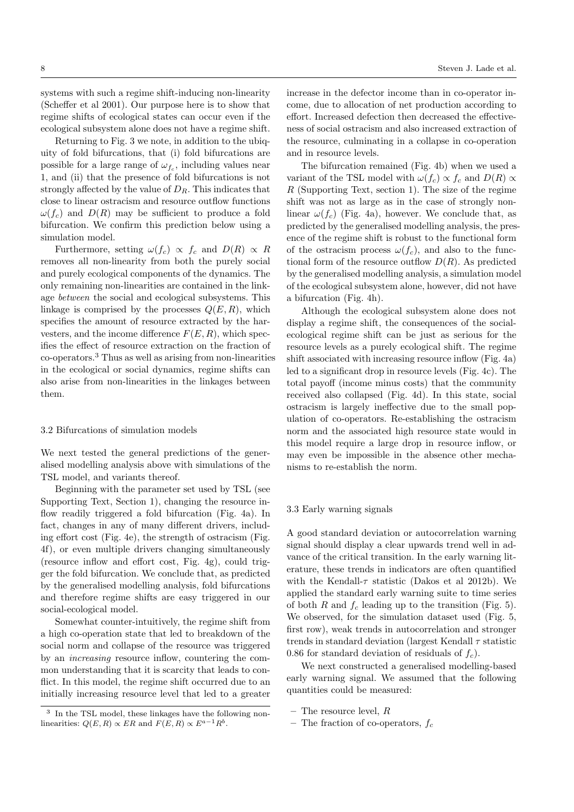systems with such a regime shift-inducing non-linearity (Scheffer et al 2001). Our purpose here is to show that regime shifts of ecological states can occur even if the ecological subsystem alone does not have a regime shift.

Returning to Fig. 3 we note, in addition to the ubiquity of fold bifurcations, that (i) fold bifurcations are possible for a large range of  $\omega_{f_c}$ , including values near 1, and (ii) that the presence of fold bifurcations is not strongly affected by the value of  $D_R$ . This indicates that close to linear ostracism and resource outflow functions  $\omega(f_c)$  and  $D(R)$  may be sufficient to produce a fold bifurcation. We confirm this prediction below using a simulation model.

Furthermore, setting  $\omega(f_c) \propto f_c$  and  $D(R) \propto R$ removes all non-linearity from both the purely social and purely ecological components of the dynamics. The only remaining non-linearities are contained in the linkage between the social and ecological subsystems. This linkage is comprised by the processes  $Q(E, R)$ , which specifies the amount of resource extracted by the harvesters, and the income difference  $F(E, R)$ , which specifies the effect of resource extraction on the fraction of co-operators.<sup>3</sup> Thus as well as arising from non-linearities in the ecological or social dynamics, regime shifts can also arise from non-linearities in the linkages between them.

#### 3.2 Bifurcations of simulation models

We next tested the general predictions of the generalised modelling analysis above with simulations of the TSL model, and variants thereof.

Beginning with the parameter set used by TSL (see Supporting Text, Section 1), changing the resource inflow readily triggered a fold bifurcation (Fig. 4a). In fact, changes in any of many different drivers, including effort cost (Fig. 4e), the strength of ostracism (Fig. 4f), or even multiple drivers changing simultaneously (resource inflow and effort cost, Fig. 4g), could trigger the fold bifurcation. We conclude that, as predicted by the generalised modelling analysis, fold bifurcations and therefore regime shifts are easy triggered in our social-ecological model.

Somewhat counter-intuitively, the regime shift from a high co-operation state that led to breakdown of the social norm and collapse of the resource was triggered by an increasing resource inflow, countering the common understanding that it is scarcity that leads to conflict. In this model, the regime shift occurred due to an initially increasing resource level that led to a greater

increase in the defector income than in co-operator income, due to allocation of net production according to effort. Increased defection then decreased the effectiveness of social ostracism and also increased extraction of the resource, culminating in a collapse in co-operation and in resource levels.

The bifurcation remained (Fig. 4b) when we used a variant of the TSL model with  $\omega(f_c) \propto f_c$  and  $D(R) \propto$  $R$  (Supporting Text, section 1). The size of the regime shift was not as large as in the case of strongly nonlinear  $\omega(f_c)$  (Fig. 4a), however. We conclude that, as predicted by the generalised modelling analysis, the presence of the regime shift is robust to the functional form of the ostracism process  $\omega(f_c)$ , and also to the functional form of the resource outflow  $D(R)$ . As predicted by the generalised modelling analysis, a simulation model of the ecological subsystem alone, however, did not have a bifurcation (Fig. 4h).

Although the ecological subsystem alone does not display a regime shift, the consequences of the socialecological regime shift can be just as serious for the resource levels as a purely ecological shift. The regime shift associated with increasing resource inflow (Fig. 4a) led to a significant drop in resource levels (Fig. 4c). The total payoff (income minus costs) that the community received also collapsed (Fig. 4d). In this state, social ostracism is largely ineffective due to the small population of co-operators. Re-establishing the ostracism norm and the associated high resource state would in this model require a large drop in resource inflow, or may even be impossible in the absence other mechanisms to re-establish the norm.

#### 3.3 Early warning signals

A good standard deviation or autocorrelation warning signal should display a clear upwards trend well in advance of the critical transition. In the early warning literature, these trends in indicators are often quantified with the Kendall- $\tau$  statistic (Dakos et al 2012b). We applied the standard early warning suite to time series of both R and  $f_c$  leading up to the transition (Fig. 5). We observed, for the simulation dataset used (Fig. 5, first row), weak trends in autocorrelation and stronger trends in standard deviation (largest Kendall  $\tau$  statistic 0.86 for standard deviation of residuals of  $f_c$ ).

We next constructed a generalised modelling-based early warning signal. We assumed that the following quantities could be measured:

– The fraction of co-operators,  $f_c$ 

<sup>3</sup> In the TSL model, these linkages have the following nonlinearities:  $Q(E, R) \propto ER$  and  $F(E, R) \propto E^{a-1}R^b$ .

<sup>–</sup> The resource level,  $R$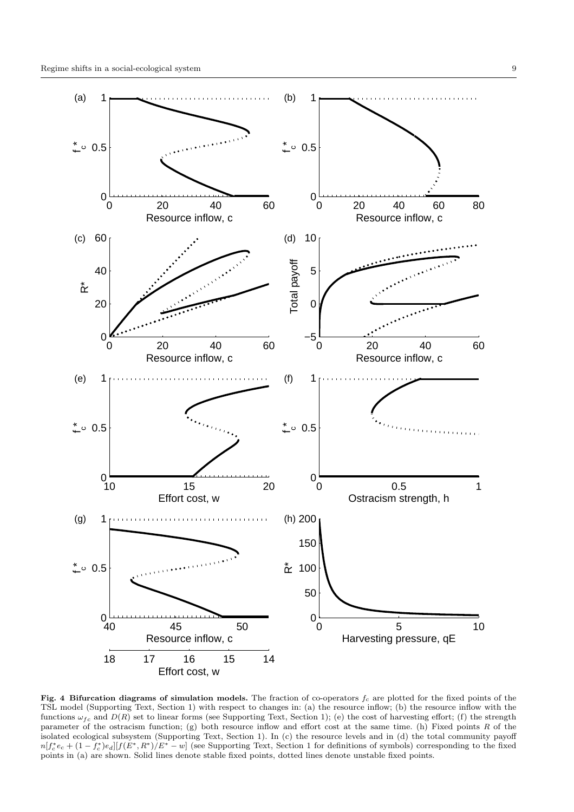

Fig. 4 Bifurcation diagrams of simulation models. The fraction of co-operators  $f_c$  are plotted for the fixed points of the TSL model (Supporting Text, Section 1) with respect to changes in: (a) the resource inflow; (b) the resource inflow with the functions  $\omega_{fc}$  and  $D(R)$  set to linear forms (see Supporting Text, Section 1); (e) the cost of harvesting effort; (f) the strength parameter of the ostracism function; (g) both resource inflow and effort cost at the same time. (h) Fixed points R of the isolated ecological subsystem (Supporting Text, Section 1). In (c) the resource levels and in (d) the total community payoff  $n[f_c^*e_c + (1 - f_c^*)e_d][f(E^*, R^*)/E^* - w]$  (see Supporting Text, Section 1 for definitions of symbols) corresponding to the fixed points in (a) are shown. Solid lines denote stable fixed points, dotted lines denote unstable fixed points.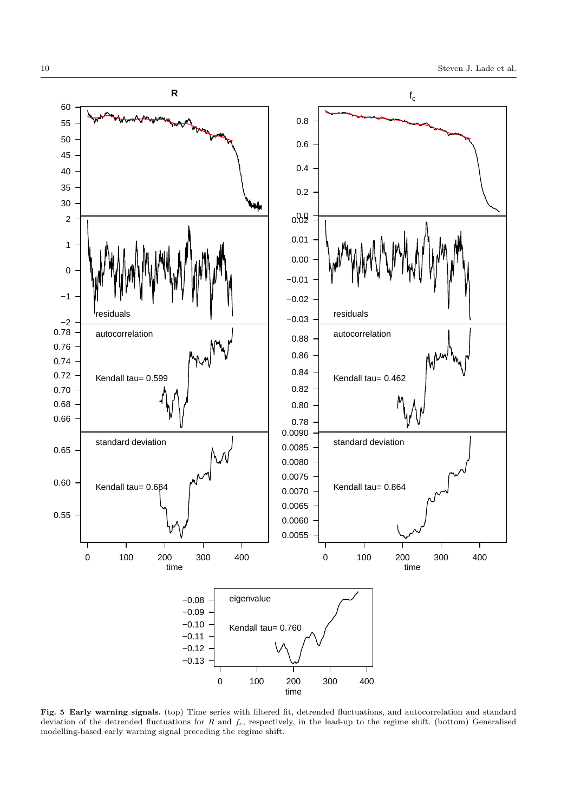

Fig. 5 Early warning signals. (top) Time series with filtered fit, detrended fluctuations, and autocorrelation and standard deviation of the detrended fluctuations for  $R$  and  $f_c$ , respectively, in the lead-up to the regime shift. (bottom) Generalised modelling-based early warning signal preceding the regime shift.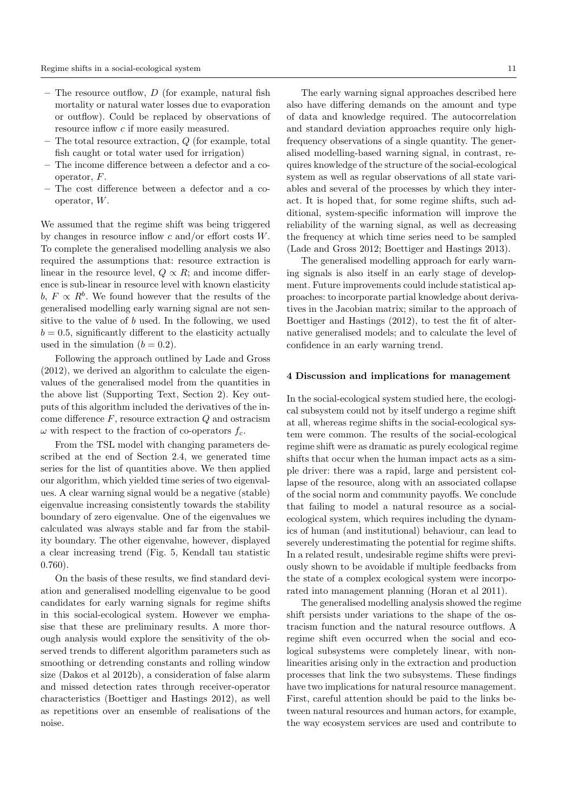- $-$  The resource outflow, D (for example, natural fish mortality or natural water losses due to evaporation or outflow). Could be replaced by observations of resource inflow c if more easily measured.
- The total resource extraction, Q (for example, total fish caught or total water used for irrigation)
- The income difference between a defector and a cooperator, F.
- The cost difference between a defector and a cooperator, W.

We assumed that the regime shift was being triggered by changes in resource inflow  $c$  and/or effort costs  $W$ . To complete the generalised modelling analysis we also required the assumptions that: resource extraction is linear in the resource level,  $Q \propto R$ ; and income difference is sub-linear in resource level with known elasticity b,  $F \propto R^b$ . We found however that the results of the generalised modelling early warning signal are not sensitive to the value of  $b$  used. In the following, we used  $b = 0.5$ , significantly different to the elasticity actually used in the simulation  $(b = 0.2)$ .

Following the approach outlined by Lade and Gross (2012), we derived an algorithm to calculate the eigenvalues of the generalised model from the quantities in the above list (Supporting Text, Section 2). Key outputs of this algorithm included the derivatives of the income difference  $F$ , resource extraction  $Q$  and ostracism  $\omega$  with respect to the fraction of co-operators  $f_c$ .

From the TSL model with changing parameters described at the end of Section 2.4, we generated time series for the list of quantities above. We then applied our algorithm, which yielded time series of two eigenvalues. A clear warning signal would be a negative (stable) eigenvalue increasing consistently towards the stability boundary of zero eigenvalue. One of the eigenvalues we calculated was always stable and far from the stability boundary. The other eigenvalue, however, displayed a clear increasing trend (Fig. 5, Kendall tau statistic 0.760).

On the basis of these results, we find standard deviation and generalised modelling eigenvalue to be good candidates for early warning signals for regime shifts in this social-ecological system. However we emphasise that these are preliminary results. A more thorough analysis would explore the sensitivity of the observed trends to different algorithm parameters such as smoothing or detrending constants and rolling window size (Dakos et al 2012b), a consideration of false alarm and missed detection rates through receiver-operator characteristics (Boettiger and Hastings 2012), as well as repetitions over an ensemble of realisations of the noise.

The early warning signal approaches described here also have differing demands on the amount and type of data and knowledge required. The autocorrelation and standard deviation approaches require only highfrequency observations of a single quantity. The generalised modelling-based warning signal, in contrast, requires knowledge of the structure of the social-ecological system as well as regular observations of all state variables and several of the processes by which they interact. It is hoped that, for some regime shifts, such additional, system-specific information will improve the reliability of the warning signal, as well as decreasing the frequency at which time series need to be sampled (Lade and Gross 2012; Boettiger and Hastings 2013).

The generalised modelling approach for early warning signals is also itself in an early stage of development. Future improvements could include statistical approaches: to incorporate partial knowledge about derivatives in the Jacobian matrix; similar to the approach of Boettiger and Hastings (2012), to test the fit of alternative generalised models; and to calculate the level of confidence in an early warning trend.

# 4 Discussion and implications for management

In the social-ecological system studied here, the ecological subsystem could not by itself undergo a regime shift at all, whereas regime shifts in the social-ecological system were common. The results of the social-ecological regime shift were as dramatic as purely ecological regime shifts that occur when the human impact acts as a simple driver: there was a rapid, large and persistent collapse of the resource, along with an associated collapse of the social norm and community payoffs. We conclude that failing to model a natural resource as a socialecological system, which requires including the dynamics of human (and institutional) behaviour, can lead to severely underestimating the potential for regime shifts. In a related result, undesirable regime shifts were previously shown to be avoidable if multiple feedbacks from the state of a complex ecological system were incorporated into management planning (Horan et al 2011).

The generalised modelling analysis showed the regime shift persists under variations to the shape of the ostracism function and the natural resource outflows. A regime shift even occurred when the social and ecological subsystems were completely linear, with nonlinearities arising only in the extraction and production processes that link the two subsystems. These findings have two implications for natural resource management. First, careful attention should be paid to the links between natural resources and human actors, for example, the way ecosystem services are used and contribute to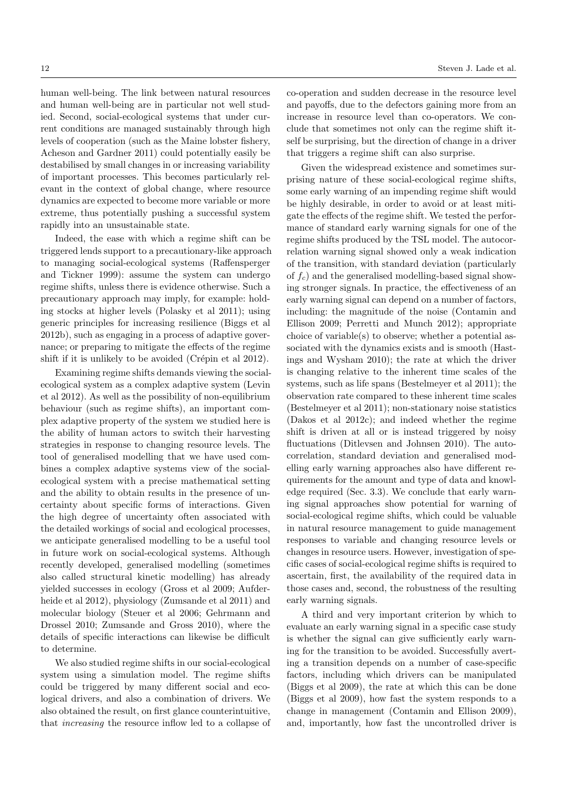human well-being. The link between natural resources and human well-being are in particular not well studied. Second, social-ecological systems that under current conditions are managed sustainably through high levels of cooperation (such as the Maine lobster fishery, Acheson and Gardner 2011) could potentially easily be destabilised by small changes in or increasing variability of important processes. This becomes particularly relevant in the context of global change, where resource dynamics are expected to become more variable or more extreme, thus potentially pushing a successful system rapidly into an unsustainable state.

Indeed, the ease with which a regime shift can be triggered lends support to a precautionary-like approach to managing social-ecological systems (Raffensperger and Tickner 1999): assume the system can undergo regime shifts, unless there is evidence otherwise. Such a precautionary approach may imply, for example: holding stocks at higher levels (Polasky et al 2011); using generic principles for increasing resilience (Biggs et al 2012b), such as engaging in a process of adaptive governance; or preparing to mitigate the effects of the regime shift if it is unlikely to be avoided (Crépin et al  $2012$ ).

Examining regime shifts demands viewing the socialecological system as a complex adaptive system (Levin et al 2012). As well as the possibility of non-equilibrium behaviour (such as regime shifts), an important complex adaptive property of the system we studied here is the ability of human actors to switch their harvesting strategies in response to changing resource levels. The tool of generalised modelling that we have used combines a complex adaptive systems view of the socialecological system with a precise mathematical setting and the ability to obtain results in the presence of uncertainty about specific forms of interactions. Given the high degree of uncertainty often associated with the detailed workings of social and ecological processes, we anticipate generalised modelling to be a useful tool in future work on social-ecological systems. Although recently developed, generalised modelling (sometimes also called structural kinetic modelling) has already yielded successes in ecology (Gross et al 2009; Aufderheide et al 2012), physiology (Zumsande et al 2011) and molecular biology (Steuer et al 2006; Gehrmann and Drossel 2010; Zumsande and Gross 2010), where the details of specific interactions can likewise be difficult to determine.

We also studied regime shifts in our social-ecological system using a simulation model. The regime shifts could be triggered by many different social and ecological drivers, and also a combination of drivers. We also obtained the result, on first glance counterintuitive, that increasing the resource inflow led to a collapse of co-operation and sudden decrease in the resource level and payoffs, due to the defectors gaining more from an increase in resource level than co-operators. We conclude that sometimes not only can the regime shift itself be surprising, but the direction of change in a driver that triggers a regime shift can also surprise.

Given the widespread existence and sometimes surprising nature of these social-ecological regime shifts, some early warning of an impending regime shift would be highly desirable, in order to avoid or at least mitigate the effects of the regime shift. We tested the performance of standard early warning signals for one of the regime shifts produced by the TSL model. The autocorrelation warning signal showed only a weak indication of the transition, with standard deviation (particularly of  $f_c$ ) and the generalised modelling-based signal showing stronger signals. In practice, the effectiveness of an early warning signal can depend on a number of factors, including: the magnitude of the noise (Contamin and Ellison 2009; Perretti and Munch 2012); appropriate choice of variable(s) to observe; whether a potential associated with the dynamics exists and is smooth (Hastings and Wysham 2010); the rate at which the driver is changing relative to the inherent time scales of the systems, such as life spans (Bestelmeyer et al 2011); the observation rate compared to these inherent time scales (Bestelmeyer et al 2011); non-stationary noise statistics (Dakos et al 2012c); and indeed whether the regime shift is driven at all or is instead triggered by noisy fluctuations (Ditlevsen and Johnsen 2010). The autocorrelation, standard deviation and generalised modelling early warning approaches also have different requirements for the amount and type of data and knowledge required (Sec. 3.3). We conclude that early warning signal approaches show potential for warning of social-ecological regime shifts, which could be valuable in natural resource management to guide management responses to variable and changing resource levels or changes in resource users. However, investigation of specific cases of social-ecological regime shifts is required to ascertain, first, the availability of the required data in those cases and, second, the robustness of the resulting early warning signals.

A third and very important criterion by which to evaluate an early warning signal in a specific case study is whether the signal can give sufficiently early warning for the transition to be avoided. Successfully averting a transition depends on a number of case-specific factors, including which drivers can be manipulated (Biggs et al 2009), the rate at which this can be done (Biggs et al 2009), how fast the system responds to a change in management (Contamin and Ellison 2009), and, importantly, how fast the uncontrolled driver is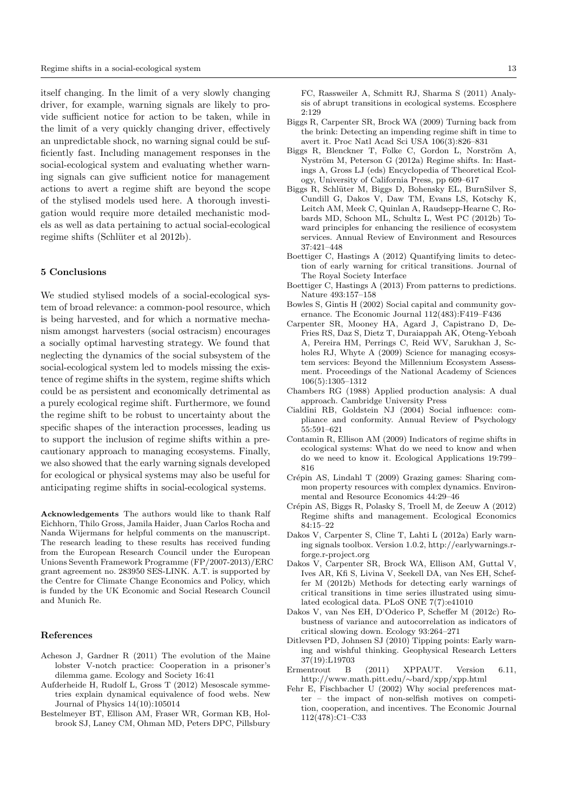itself changing. In the limit of a very slowly changing driver, for example, warning signals are likely to provide sufficient notice for action to be taken, while in the limit of a very quickly changing driver, effectively an unpredictable shock, no warning signal could be sufficiently fast. Including management responses in the social-ecological system and evaluating whether warning signals can give sufficient notice for management actions to avert a regime shift are beyond the scope of the stylised models used here. A thorough investigation would require more detailed mechanistic models as well as data pertaining to actual social-ecological regime shifts (Schlüter et al 2012b).

### 5 Conclusions

We studied stylised models of a social-ecological system of broad relevance: a common-pool resource, which is being harvested, and for which a normative mechanism amongst harvesters (social ostracism) encourages a socially optimal harvesting strategy. We found that neglecting the dynamics of the social subsystem of the social-ecological system led to models missing the existence of regime shifts in the system, regime shifts which could be as persistent and economically detrimental as a purely ecological regime shift. Furthermore, we found the regime shift to be robust to uncertainty about the specific shapes of the interaction processes, leading us to support the inclusion of regime shifts within a precautionary approach to managing ecosystems. Finally, we also showed that the early warning signals developed for ecological or physical systems may also be useful for anticipating regime shifts in social-ecological systems.

Acknowledgements The authors would like to thank Ralf Eichhorn, Thilo Gross, Jamila Haider, Juan Carlos Rocha and Nanda Wijermans for helpful comments on the manuscript. The research leading to these results has received funding from the European Research Council under the European Unions Seventh Framework Programme (FP/2007-2013)/ERC grant agreement no. 283950 SES-LINK. A.T. is supported by the Centre for Climate Change Economics and Policy, which is funded by the UK Economic and Social Research Council and Munich Re.

#### References

- Acheson J, Gardner R (2011) The evolution of the Maine lobster V-notch practice: Cooperation in a prisoner's dilemma game. Ecology and Society 16:41
- Aufderheide H, Rudolf L, Gross T (2012) Mesoscale symmetries explain dynamical equivalence of food webs. New Journal of Physics 14(10):105014
- Bestelmeyer BT, Ellison AM, Fraser WR, Gorman KB, Holbrook SJ, Laney CM, Ohman MD, Peters DPC, Pillsbury

FC, Rassweiler A, Schmitt RJ, Sharma S (2011) Analysis of abrupt transitions in ecological systems. Ecosphere 2:129

- Biggs R, Carpenter SR, Brock WA (2009) Turning back from the brink: Detecting an impending regime shift in time to avert it. Proc Natl Acad Sci USA 106(3):826–831
- Biggs R, Blenckner T, Folke C, Gordon L, Norström A, Nyström M, Peterson G (2012a) Regime shifts. In: Hastings A, Gross LJ (eds) Encyclopedia of Theoretical Ecology, University of California Press, pp 609–617
- Biggs R, Schlüter M, Biggs D, Bohensky EL, BurnSilver S, Cundill G, Dakos V, Daw TM, Evans LS, Kotschy K, Leitch AM, Meek C, Quinlan A, Raudsepp-Hearne C, Robards MD, Schoon ML, Schultz L, West PC (2012b) Toward principles for enhancing the resilience of ecosystem services. Annual Review of Environment and Resources 37:421–448
- Boettiger C, Hastings A (2012) Quantifying limits to detection of early warning for critical transitions. Journal of The Royal Society Interface
- Boettiger C, Hastings A (2013) From patterns to predictions. Nature 493:157–158
- Bowles S, Gintis H (2002) Social capital and community governance. The Economic Journal 112(483):F419–F436
- Carpenter SR, Mooney HA, Agard J, Capistrano D, De-Fries RS, Daz S, Dietz T, Duraiappah AK, Oteng-Yeboah A, Pereira HM, Perrings C, Reid WV, Sarukhan J, Scholes RJ, Whyte A (2009) Science for managing ecosystem services: Beyond the Millennium Ecosystem Assessment. Proceedings of the National Academy of Sciences 106(5):1305–1312
- Chambers RG (1988) Applied production analysis: A dual approach. Cambridge University Press
- Cialdini RB, Goldstein NJ (2004) Social influence: compliance and conformity. Annual Review of Psychology 55:591–621
- Contamin R, Ellison AM (2009) Indicators of regime shifts in ecological systems: What do we need to know and when do we need to know it. Ecological Applications 19:799– 816
- Crépin AS, Lindahl T (2009) Grazing games: Sharing common property resources with complex dynamics. Environmental and Resource Economics 44:29–46
- Crépin AS, Biggs R, Polasky S, Troell M, de Zeeuw A (2012) Regime shifts and management. Ecological Economics 84:15–22
- Dakos V, Carpenter S, Cline T, Lahti L (2012a) Early warning signals toolbox. Version 1.0.2, http://earlywarnings.rforge.r-project.org
- Dakos V, Carpenter SR, Brock WA, Ellison AM, Guttal V, Ives AR, Kfi S, Livina V, Seekell DA, van Nes EH, Scheffer M (2012b) Methods for detecting early warnings of critical transitions in time series illustrated using simulated ecological data. PLoS ONE 7(7):e41010
- Dakos V, van Nes EH, D'Oderico P, Scheffer M (2012c) Robustness of variance and autocorrelation as indicators of critical slowing down. Ecology 93:264–271
- Ditlevsen PD, Johnsen SJ (2010) Tipping points: Early warning and wishful thinking. Geophysical Research Letters 37(19):L19703
- Ermentrout B (2011) XPPAUT. Version 6.11, http://www.math.pitt.edu/∼bard/xpp/xpp.html
- Fehr E, Fischbacher U (2002) Why social preferences matter – the impact of non-selfish motives on competition, cooperation, and incentives. The Economic Journal 112(478):C1–C33